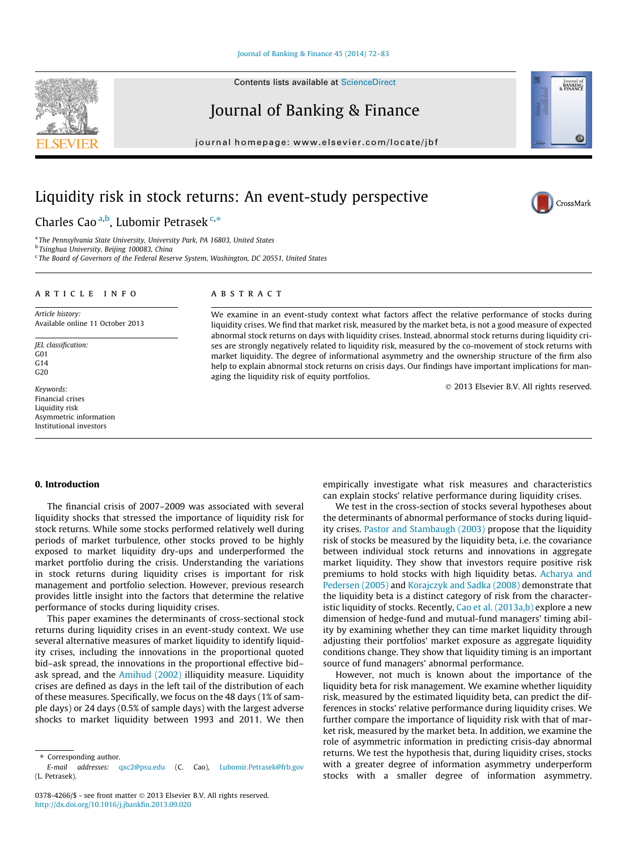#### [Journal of Banking & Finance 45 \(2014\) 72–83](http://dx.doi.org/10.1016/j.jbankfin.2013.09.020)

Contents lists available at [ScienceDirect](http://www.sciencedirect.com/science/journal/03784266)

Journal of Banking & Finance

journal homepage: [www.elsevier.com/locate/jbf](http://www.elsevier.com/locate/jbf)

# Liquidity risk in stock returns: An event-study perspective

Charles Cao<sup>a,b</sup>, Lubomir Petrasek<sup>c,\*</sup>

<sup>a</sup> The Pennsylvania State University, University Park, PA 16803, United States

<sup>b</sup> Tsinghua University, Beijing 100083, China

<sup>c</sup> The Board of Governors of the Federal Reserve System, Washington, DC 20551, United States

## ARTICLE INFO

Article history: Available online 11 October 2013

JEL classification: G01 G14  $G20$ 

Keywords: Financial crises Liquidity risk Asymmetric information Institutional investors

## ABSTRACT

We examine in an event-study context what factors affect the relative performance of stocks during liquidity crises. We find that market risk, measured by the market beta, is not a good measure of expected abnormal stock returns on days with liquidity crises. Instead, abnormal stock returns during liquidity crises are strongly negatively related to liquidity risk, measured by the co-movement of stock returns with market liquidity. The degree of informational asymmetry and the ownership structure of the firm also help to explain abnormal stock returns on crisis days. Our findings have important implications for managing the liquidity risk of equity portfolios.

- 2013 Elsevier B.V. All rights reserved.

#### 0. Introduction

The financial crisis of 2007–2009 was associated with several liquidity shocks that stressed the importance of liquidity risk for stock returns. While some stocks performed relatively well during periods of market turbulence, other stocks proved to be highly exposed to market liquidity dry-ups and underperformed the market portfolio during the crisis. Understanding the variations in stock returns during liquidity crises is important for risk management and portfolio selection. However, previous research provides little insight into the factors that determine the relative performance of stocks during liquidity crises.

This paper examines the determinants of cross-sectional stock returns during liquidity crises in an event-study context. We use several alternative measures of market liquidity to identify liquidity crises, including the innovations in the proportional quoted bid–ask spread, the innovations in the proportional effective bid– ask spread, and the [Amihud \(2002\)](#page-11-0) illiquidity measure. Liquidity crises are defined as days in the left tail of the distribution of each of these measures. Specifically, we focus on the 48 days (1% of sample days) or 24 days (0.5% of sample days) with the largest adverse shocks to market liquidity between 1993 and 2011. We then empirically investigate what risk measures and characteristics can explain stocks' relative performance during liquidity crises.

We test in the cross-section of stocks several hypotheses about the determinants of abnormal performance of stocks during liquidity crises. [Pastor and Stambaugh \(2003\)](#page-11-0) propose that the liquidity risk of stocks be measured by the liquidity beta, i.e. the covariance between individual stock returns and innovations in aggregate market liquidity. They show that investors require positive risk premiums to hold stocks with high liquidity betas. [Acharya and](#page-11-0) [Pedersen \(2005\)](#page-11-0) and [Korajczyk and Sadka \(2008\)](#page-11-0) demonstrate that the liquidity beta is a distinct category of risk from the character-istic liquidity of stocks. Recently, [Cao et al. \(2013a,b\)](#page-11-0) explore a new dimension of hedge-fund and mutual-fund managers' timing ability by examining whether they can time market liquidity through adjusting their portfolios' market exposure as aggregate liquidity conditions change. They show that liquidity timing is an important source of fund managers' abnormal performance.

However, not much is known about the importance of the liquidity beta for risk management. We examine whether liquidity risk, measured by the estimated liquidity beta, can predict the differences in stocks' relative performance during liquidity crises. We further compare the importance of liquidity risk with that of market risk, measured by the market beta. In addition, we examine the role of asymmetric information in predicting crisis-day abnormal returns. We test the hypothesis that, during liquidity crises, stocks with a greater degree of information asymmetry underperform stocks with a smaller degree of information asymmetry.







<sup>⇑</sup> Corresponding author.

E-mail addresses: [qxc2@psu.edu](mailto:qxc2@psu.edu) (C. Cao), [Lubomir.Petrasek@frb.gov](mailto:Lubomir.Petrasek@frb.gov                     ) (L. Petrasek).

<sup>0378-4266/\$ -</sup> see front matter © 2013 Elsevier B.V. All rights reserved. <http://dx.doi.org/10.1016/j.jbankfin.2013.09.020>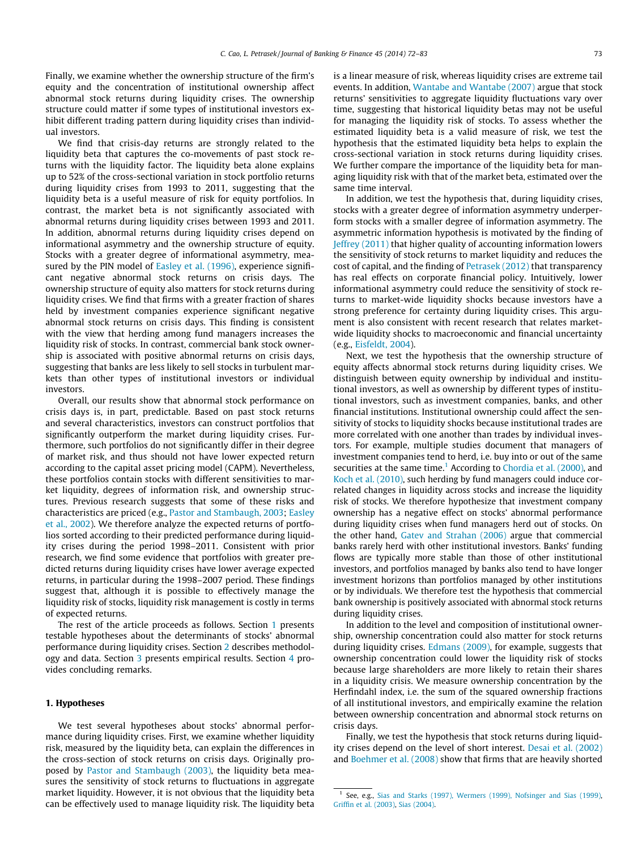Finally, we examine whether the ownership structure of the firm's equity and the concentration of institutional ownership affect abnormal stock returns during liquidity crises. The ownership structure could matter if some types of institutional investors exhibit different trading pattern during liquidity crises than individual investors.

We find that crisis-day returns are strongly related to the liquidity beta that captures the co-movements of past stock returns with the liquidity factor. The liquidity beta alone explains up to 52% of the cross-sectional variation in stock portfolio returns during liquidity crises from 1993 to 2011, suggesting that the liquidity beta is a useful measure of risk for equity portfolios. In contrast, the market beta is not significantly associated with abnormal returns during liquidity crises between 1993 and 2011. In addition, abnormal returns during liquidity crises depend on informational asymmetry and the ownership structure of equity. Stocks with a greater degree of informational asymmetry, mea-sured by the PIN model of [Easley et al. \(1996\),](#page-11-0) experience significant negative abnormal stock returns on crisis days. The ownership structure of equity also matters for stock returns during liquidity crises. We find that firms with a greater fraction of shares held by investment companies experience significant negative abnormal stock returns on crisis days. This finding is consistent with the view that herding among fund managers increases the liquidity risk of stocks. In contrast, commercial bank stock ownership is associated with positive abnormal returns on crisis days, suggesting that banks are less likely to sell stocks in turbulent markets than other types of institutional investors or individual investors.

Overall, our results show that abnormal stock performance on crisis days is, in part, predictable. Based on past stock returns and several characteristics, investors can construct portfolios that significantly outperform the market during liquidity crises. Furthermore, such portfolios do not significantly differ in their degree of market risk, and thus should not have lower expected return according to the capital asset pricing model (CAPM). Nevertheless, these portfolios contain stocks with different sensitivities to market liquidity, degrees of information risk, and ownership structures. Previous research suggests that some of these risks and characteristics are priced (e.g., [Pastor and Stambaugh, 2003;](#page-11-0) [Easley](#page-11-0) [et al., 2002](#page-11-0)). We therefore analyze the expected returns of portfolios sorted according to their predicted performance during liquidity crises during the period 1998–2011. Consistent with prior research, we find some evidence that portfolios with greater predicted returns during liquidity crises have lower average expected returns, in particular during the 1998–2007 period. These findings suggest that, although it is possible to effectively manage the liquidity risk of stocks, liquidity risk management is costly in terms of expected returns.

The rest of the article proceeds as follows. Section 1 presents testable hypotheses about the determinants of stocks' abnormal performance during liquidity crises. Section [2](#page-2-0) describes methodology and data. Section [3](#page-4-0) presents empirical results. Section [4](#page-10-0) provides concluding remarks.

## 1. Hypotheses

We test several hypotheses about stocks' abnormal performance during liquidity crises. First, we examine whether liquidity risk, measured by the liquidity beta, can explain the differences in the cross-section of stock returns on crisis days. Originally proposed by [Pastor and Stambaugh \(2003\)](#page-11-0), the liquidity beta measures the sensitivity of stock returns to fluctuations in aggregate market liquidity. However, it is not obvious that the liquidity beta can be effectively used to manage liquidity risk. The liquidity beta is a linear measure of risk, whereas liquidity crises are extreme tail events. In addition, [Wantabe and Wantabe \(2007\)](#page-11-0) argue that stock returns' sensitivities to aggregate liquidity fluctuations vary over time, suggesting that historical liquidity betas may not be useful for managing the liquidity risk of stocks. To assess whether the estimated liquidity beta is a valid measure of risk, we test the hypothesis that the estimated liquidity beta helps to explain the cross-sectional variation in stock returns during liquidity crises. We further compare the importance of the liquidity beta for managing liquidity risk with that of the market beta, estimated over the same time interval.

In addition, we test the hypothesis that, during liquidity crises, stocks with a greater degree of information asymmetry underperform stocks with a smaller degree of information asymmetry. The asymmetric information hypothesis is motivated by the finding of [Jeffrey \(2011\)](#page-11-0) that higher quality of accounting information lowers the sensitivity of stock returns to market liquidity and reduces the cost of capital, and the finding of [Petrasek \(2012\)](#page-11-0) that transparency has real effects on corporate financial policy. Intuitively, lower informational asymmetry could reduce the sensitivity of stock returns to market-wide liquidity shocks because investors have a strong preference for certainty during liquidity crises. This argument is also consistent with recent research that relates marketwide liquidity shocks to macroeconomic and financial uncertainty (e.g., [Eisfeldt, 2004](#page-11-0)).

Next, we test the hypothesis that the ownership structure of equity affects abnormal stock returns during liquidity crises. We distinguish between equity ownership by individual and institutional investors, as well as ownership by different types of institutional investors, such as investment companies, banks, and other financial institutions. Institutional ownership could affect the sensitivity of stocks to liquidity shocks because institutional trades are more correlated with one another than trades by individual investors. For example, multiple studies document that managers of investment companies tend to herd, i.e. buy into or out of the same securities at the same time.<sup>1</sup> According to [Chordia et al. \(2000\),](#page-11-0) and [Koch et al. \(2010\)](#page-11-0), such herding by fund managers could induce correlated changes in liquidity across stocks and increase the liquidity risk of stocks. We therefore hypothesize that investment company ownership has a negative effect on stocks' abnormal performance during liquidity crises when fund managers herd out of stocks. On the other hand, [Gatev and Strahan \(2006\)](#page-11-0) argue that commercial banks rarely herd with other institutional investors. Banks' funding flows are typically more stable than those of other institutional investors, and portfolios managed by banks also tend to have longer investment horizons than portfolios managed by other institutions or by individuals. We therefore test the hypothesis that commercial bank ownership is positively associated with abnormal stock returns during liquidity crises.

In addition to the level and composition of institutional ownership, ownership concentration could also matter for stock returns during liquidity crises. [Edmans \(2009\),](#page-11-0) for example, suggests that ownership concentration could lower the liquidity risk of stocks because large shareholders are more likely to retain their shares in a liquidity crisis. We measure ownership concentration by the Herfindahl index, i.e. the sum of the squared ownership fractions of all institutional investors, and empirically examine the relation between ownership concentration and abnormal stock returns on crisis days.

Finally, we test the hypothesis that stock returns during liquidity crises depend on the level of short interest. [Desai et al. \(2002\)](#page-11-0) and [Boehmer et al. \(2008\)](#page-11-0) show that firms that are heavily shorted

<sup>&</sup>lt;sup>1</sup> See, e.g., [Sias and Starks \(1997\), Wermers \(1999\), Nofsinger and Sias \(1999\)](#page-11-0), [Griffin et al. \(2003\),](#page-11-0) [Sias \(2004\)](#page-11-0).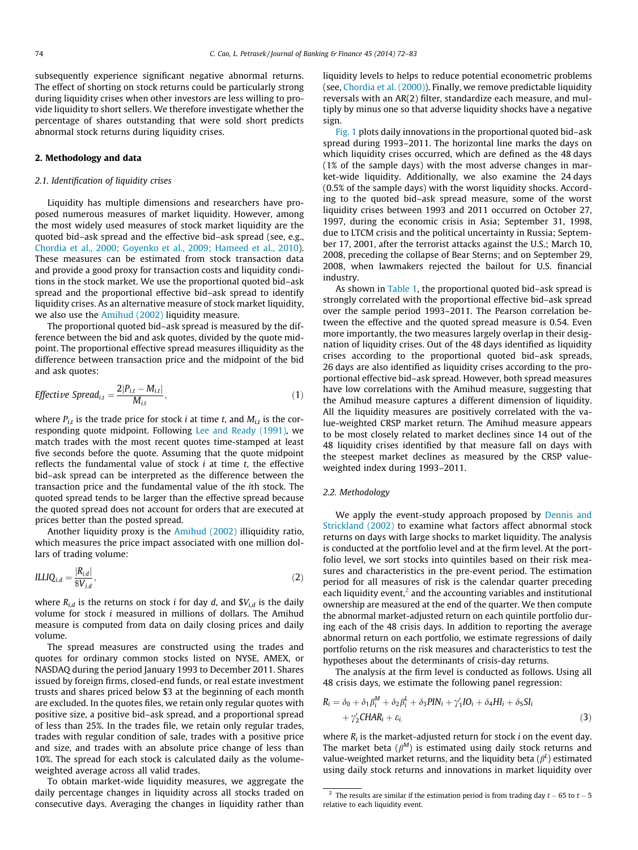<span id="page-2-0"></span>subsequently experience significant negative abnormal returns. The effect of shorting on stock returns could be particularly strong during liquidity crises when other investors are less willing to provide liquidity to short sellers. We therefore investigate whether the percentage of shares outstanding that were sold short predicts abnormal stock returns during liquidity crises.

## 2. Methodology and data

## 2.1. Identification of liquidity crises

Liquidity has multiple dimensions and researchers have proposed numerous measures of market liquidity. However, among the most widely used measures of stock market liquidity are the quoted bid–ask spread and the effective bid–ask spread (see, e.g., [Chordia et al., 2000; Goyenko et al., 2009; Hameed et al., 2010\)](#page-11-0). These measures can be estimated from stock transaction data and provide a good proxy for transaction costs and liquidity conditions in the stock market. We use the proportional quoted bid–ask spread and the proportional effective bid–ask spread to identify liquidity crises. As an alternative measure of stock market liquidity, we also use the [Amihud \(2002\)](#page-11-0) liquidity measure.

The proportional quoted bid–ask spread is measured by the difference between the bid and ask quotes, divided by the quote midpoint. The proportional effective spread measures illiquidity as the difference between transaction price and the midpoint of the bid and ask quotes:

$$
Effective\ Spread_{i,t} = \frac{2|P_{i,t} - M_{i,t}|}{M_{i,t}},
$$
\n
$$
(1)
$$

where  $P_{i,t}$  is the trade price for stock *i* at time *t*, and  $M_{i,t}$  is the corresponding quote midpoint. Following [Lee and Ready \(1991\)](#page-11-0), we match trades with the most recent quotes time-stamped at least five seconds before the quote. Assuming that the quote midpoint reflects the fundamental value of stock  $i$  at time  $t$ , the effective bid–ask spread can be interpreted as the difference between the transaction price and the fundamental value of the ith stock. The quoted spread tends to be larger than the effective spread because the quoted spread does not account for orders that are executed at prices better than the posted spread.

Another liquidity proxy is the [Amihud \(2002\)](#page-11-0) illiquidity ratio, which measures the price impact associated with one million dollars of trading volume:

$$
ILLIQ_{i,d} = \frac{|R_{i,d}|}{\$V_{i,d}},\tag{2}
$$

where  $R_{i,d}$  is the returns on stock *i* for day *d*, and  $V_{i,d}$  is the daily volume for stock i measured in millions of dollars. The Amihud measure is computed from data on daily closing prices and daily volume.

The spread measures are constructed using the trades and quotes for ordinary common stocks listed on NYSE, AMEX, or NASDAQ during the period January 1993 to December 2011. Shares issued by foreign firms, closed-end funds, or real estate investment trusts and shares priced below \$3 at the beginning of each month are excluded. In the quotes files, we retain only regular quotes with positive size, a positive bid–ask spread, and a proportional spread of less than 25%. In the trades file, we retain only regular trades, trades with regular condition of sale, trades with a positive price and size, and trades with an absolute price change of less than 10%. The spread for each stock is calculated daily as the volumeweighted average across all valid trades.

To obtain market-wide liquidity measures, we aggregate the daily percentage changes in liquidity across all stocks traded on consecutive days. Averaging the changes in liquidity rather than

liquidity levels to helps to reduce potential econometric problems (see, [Chordia et al. \(2000\)\)](#page-11-0). Finally, we remove predictable liquidity reversals with an AR(2) filter, standardize each measure, and multiply by minus one so that adverse liquidity shocks have a negative sign.

[Fig. 1](#page-3-0) plots daily innovations in the proportional quoted bid–ask spread during 1993–2011. The horizontal line marks the days on which liquidity crises occurred, which are defined as the 48 days (1% of the sample days) with the most adverse changes in market-wide liquidity. Additionally, we also examine the 24 days (0.5% of the sample days) with the worst liquidity shocks. According to the quoted bid–ask spread measure, some of the worst liquidity crises between 1993 and 2011 occurred on October 27, 1997, during the economic crisis in Asia; September 31, 1998, due to LTCM crisis and the political uncertainty in Russia; September 17, 2001, after the terrorist attacks against the U.S.; March 10, 2008, preceding the collapse of Bear Sterns; and on September 29, 2008, when lawmakers rejected the bailout for U.S. financial industry.

As shown in [Table 1,](#page-3-0) the proportional quoted bid–ask spread is strongly correlated with the proportional effective bid–ask spread over the sample period 1993–2011. The Pearson correlation between the effective and the quoted spread measure is 0.54. Even more importantly, the two measures largely overlap in their designation of liquidity crises. Out of the 48 days identified as liquidity crises according to the proportional quoted bid–ask spreads, 26 days are also identified as liquidity crises according to the proportional effective bid–ask spread. However, both spread measures have low correlations with the Amihud measure, suggesting that the Amihud measure captures a different dimension of liquidity. All the liquidity measures are positively correlated with the value-weighted CRSP market return. The Amihud measure appears to be most closely related to market declines since 14 out of the 48 liquidity crises identified by that measure fall on days with the steepest market declines as measured by the CRSP valueweighted index during 1993–2011.

### 2.2. Methodology

We apply the event-study approach proposed by [Dennis and](#page-11-0) [Strickland \(2002\)](#page-11-0) to examine what factors affect abnormal stock returns on days with large shocks to market liquidity. The analysis is conducted at the portfolio level and at the firm level. At the portfolio level, we sort stocks into quintiles based on their risk measures and characteristics in the pre-event period. The estimation period for all measures of risk is the calendar quarter preceding each liquidity event, $2$  and the accounting variables and institutional ownership are measured at the end of the quarter. We then compute the abnormal market-adjusted return on each quintile portfolio during each of the 48 crisis days. In addition to reporting the average abnormal return on each portfolio, we estimate regressions of daily portfolio returns on the risk measures and characteristics to test the hypotheses about the determinants of crisis-day returns.

The analysis at the firm level is conducted as follows. Using all 48 crisis days, we estimate the following panel regression:

$$
R_i = \delta_0 + \delta_1 \beta_i^M + \delta_2 \beta_i^L + \delta_3 PIN_i + \gamma_1^{\prime} IO_i + \delta_4 HI_i + \delta_5 SI_i
$$
  
+ 
$$
\gamma_2^{\prime} CHAR_i + \varepsilon_{i,}
$$
 (3)

where  $R_i$  is the market-adjusted return for stock *i* on the event day. The market beta ( $\beta^M$ ) is estimated using daily stock returns and value-weighted market returns, and the liquidity beta ( $\beta^L$ ) estimated using daily stock returns and innovations in market liquidity over

<sup>&</sup>lt;sup>2</sup> The results are similar if the estimation period is from trading day  $t - 65$  to  $t - 5$ relative to each liquidity event.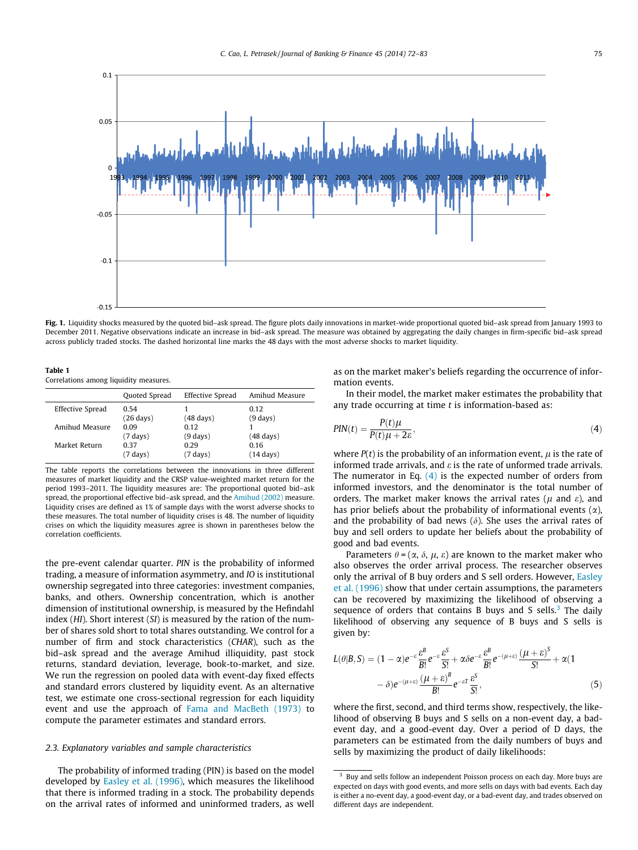<span id="page-3-0"></span>

Fig. 1. Liquidity shocks measured by the quoted bid-ask spread. The figure plots daily innovations in market-wide proportional quoted bid-ask spread from January 1993 to December 2011. Negative observations indicate an increase in bid–ask spread. The measure was obtained by aggregating the daily changes in firm-specific bid–ask spread across publicly traded stocks. The dashed horizontal line marks the 48 days with the most adverse shocks to market liquidity.

Table 1 Correlations among liquidity measures.

|                  | Quoted Spread               | Effective Spread             | Amihud Measure              |
|------------------|-----------------------------|------------------------------|-----------------------------|
| Effective Spread | 0.54<br>$(26 \text{ days})$ | $(48 \text{ days})$          | 0.12<br>$(9 \text{ days})$  |
| Amihud Measure   | 0.09<br>$(7 \text{ days})$  | 0.12<br>$(9 \, \text{days})$ | $(48 \text{ days})$         |
| Market Return    | 0.37<br>$(7 \text{ days})$  | 0.29<br>$(7 \text{ days})$   | 0.16<br>$(14 \text{ days})$ |

The table reports the correlations between the innovations in three different measures of market liquidity and the CRSP value-weighted market return for the period 1993–2011. The liquidity measures are: The proportional quoted bid–ask spread, the proportional effective bid–ask spread, and the [Amihud \(2002\)](#page-11-0) measure. Liquidity crises are defined as 1% of sample days with the worst adverse shocks to these measures. The total number of liquidity crises is 48. The number of liquidity crises on which the liquidity measures agree is shown in parentheses below the correlation coefficients.

the pre-event calendar quarter. PIN is the probability of informed trading, a measure of information asymmetry, and IO is institutional ownership segregated into three categories: investment companies, banks, and others. Ownership concentration, which is another dimension of institutional ownership, is measured by the Hefindahl index (HI). Short interest (SI) is measured by the ration of the number of shares sold short to total shares outstanding. We control for a number of firm and stock characteristics (CHAR), such as the bid–ask spread and the average Amihud illiquidity, past stock returns, standard deviation, leverage, book-to-market, and size. We run the regression on pooled data with event-day fixed effects and standard errors clustered by liquidity event. As an alternative test, we estimate one cross-sectional regression for each liquidity event and use the approach of [Fama and MacBeth \(1973\)](#page-11-0) to compute the parameter estimates and standard errors.

## 2.3. Explanatory variables and sample characteristics

The probability of informed trading (PIN) is based on the model developed by [Easley et al. \(1996\),](#page-11-0) which measures the likelihood that there is informed trading in a stock. The probability depends on the arrival rates of informed and uninformed traders, as well

as on the market maker's beliefs regarding the occurrence of information events.

In their model, the market maker estimates the probability that any trade occurring at time  $t$  is information-based as:

$$
PIN(t) = \frac{P(t)\mu}{P(t)\mu + 2\varepsilon},\tag{4}
$$

where  $P(t)$  is the probability of an information event,  $\mu$  is the rate of informed trade arrivals, and  $\varepsilon$  is the rate of unformed trade arrivals. The numerator in Eq.  $(4)$  is the expected number of orders from informed investors, and the denominator is the total number of orders. The market maker knows the arrival rates ( $\mu$  and  $\varepsilon$ ), and has prior beliefs about the probability of informational events  $(\alpha)$ , and the probability of bad news  $(\delta)$ . She uses the arrival rates of buy and sell orders to update her beliefs about the probability of good and bad events.

Parameters  $\theta = (\alpha, \delta, \mu, \varepsilon)$  are known to the market maker who also observes the order arrival process. The researcher observes only the arrival of B buy orders and S sell orders. However, [Easley](#page-11-0) [et al. \(1996\)](#page-11-0) show that under certain assumptions, the parameters can be recovered by maximizing the likelihood of observing a sequence of orders that contains B buys and S sells. $3$  The daily likelihood of observing any sequence of B buys and S sells is given by:

$$
L(\theta|B,S) = (1 - \alpha)e^{-\varepsilon}\frac{\varepsilon^{B}}{B!}e^{-\varepsilon}\frac{\varepsilon^{S}}{S!} + \alpha\delta e^{-\varepsilon}\frac{\varepsilon^{B}}{B!}e^{-(\mu+\varepsilon)}\frac{(\mu+\varepsilon)^{S}}{S!} + \alpha(1 - \delta)e^{-(\mu+\varepsilon)}\frac{(\mu+\varepsilon)^{B}}{B!}e^{-\varepsilon T}\frac{\varepsilon^{S}}{S!},
$$
\n(5)

where the first, second, and third terms show, respectively, the likelihood of observing B buys and S sells on a non-event day, a badevent day, and a good-event day. Over a period of D days, the parameters can be estimated from the daily numbers of buys and sells by maximizing the product of daily likelihoods:

 $3$  Buy and sells follow an independent Poisson process on each day. More buys are expected on days with good events, and more sells on days with bad events. Each day is either a no-event day, a good-event day, or a bad-event day, and trades observed on different days are independent.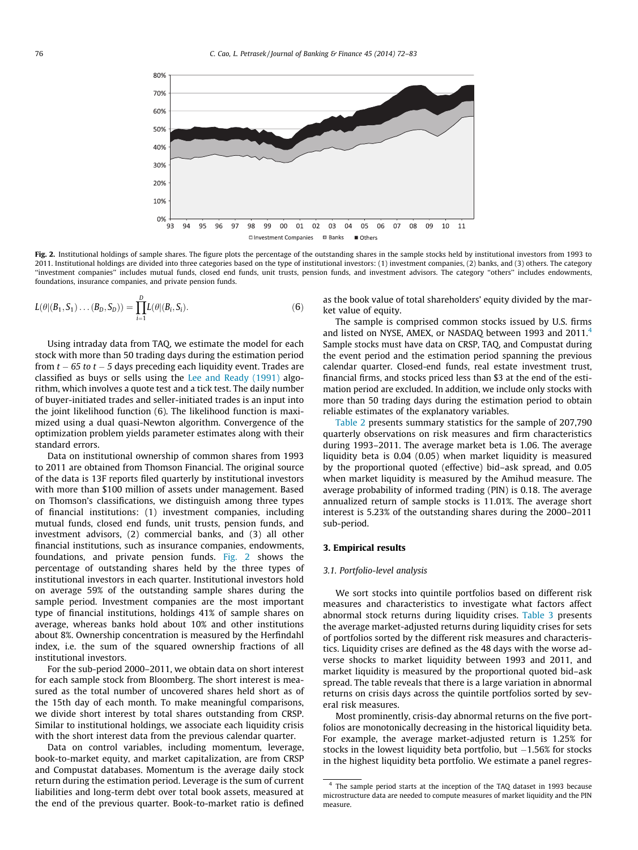<span id="page-4-0"></span>

Fig. 2. Institutional holdings of sample shares. The figure plots the percentage of the outstanding shares in the sample stocks held by institutional investors from 1993 to 2011. Institutional holdings are divided into three categories based on the type of institutional investors: (1) investment companies, (2) banks, and (3) others. The category ''investment companies'' includes mutual funds, closed end funds, unit trusts, pension funds, and investment advisors. The category ''others'' includes endowments, foundations, insurance companies, and private pension funds.

$$
L(\theta|(B_1, S_1)\dots(B_D, S_D)) = \prod_{i=1}^D L(\theta|(B_i, S_i)).
$$
\n(6)

Using intraday data from TAQ, we estimate the model for each stock with more than 50 trading days during the estimation period from  $t$  – 65 to  $t$  – 5 days preceding each liquidity event. Trades are classified as buys or sells using the [Lee and Ready \(1991\)](#page-11-0) algorithm, which involves a quote test and a tick test. The daily number of buyer-initiated trades and seller-initiated trades is an input into the joint likelihood function (6). The likelihood function is maximized using a dual quasi-Newton algorithm. Convergence of the optimization problem yields parameter estimates along with their standard errors.

Data on institutional ownership of common shares from 1993 to 2011 are obtained from Thomson Financial. The original source of the data is 13F reports filed quarterly by institutional investors with more than \$100 million of assets under management. Based on Thomson's classifications, we distinguish among three types of financial institutions: (1) investment companies, including mutual funds, closed end funds, unit trusts, pension funds, and investment advisors, (2) commercial banks, and (3) all other financial institutions, such as insurance companies, endowments, foundations, and private pension funds. Fig. 2 shows the percentage of outstanding shares held by the three types of institutional investors in each quarter. Institutional investors hold on average 59% of the outstanding sample shares during the sample period. Investment companies are the most important type of financial institutions, holdings 41% of sample shares on average, whereas banks hold about 10% and other institutions about 8%. Ownership concentration is measured by the Herfindahl index, i.e. the sum of the squared ownership fractions of all institutional investors.

For the sub-period 2000–2011, we obtain data on short interest for each sample stock from Bloomberg. The short interest is measured as the total number of uncovered shares held short as of the 15th day of each month. To make meaningful comparisons, we divide short interest by total shares outstanding from CRSP. Similar to institutional holdings, we associate each liquidity crisis with the short interest data from the previous calendar quarter.

Data on control variables, including momentum, leverage, book-to-market equity, and market capitalization, are from CRSP and Compustat databases. Momentum is the average daily stock return during the estimation period. Leverage is the sum of current liabilities and long-term debt over total book assets, measured at the end of the previous quarter. Book-to-market ratio is defined as the book value of total shareholders' equity divided by the market value of equity.

The sample is comprised common stocks issued by U.S. firms and listed on NYSE, AMEX, or NASDAQ between 1993 and 2011.<sup>4</sup> Sample stocks must have data on CRSP, TAQ, and Compustat during the event period and the estimation period spanning the previous calendar quarter. Closed-end funds, real estate investment trust, financial firms, and stocks priced less than \$3 at the end of the estimation period are excluded. In addition, we include only stocks with more than 50 trading days during the estimation period to obtain reliable estimates of the explanatory variables.

[Table 2](#page-5-0) presents summary statistics for the sample of 207,790 quarterly observations on risk measures and firm characteristics during 1993–2011. The average market beta is 1.06. The average liquidity beta is 0.04 (0.05) when market liquidity is measured by the proportional quoted (effective) bid–ask spread, and 0.05 when market liquidity is measured by the Amihud measure. The average probability of informed trading (PIN) is 0.18. The average annualized return of sample stocks is 11.01%. The average short interest is 5.23% of the outstanding shares during the 2000–2011 sub-period.

#### 3. Empirical results

### 3.1. Portfolio-level analysis

We sort stocks into quintile portfolios based on different risk measures and characteristics to investigate what factors affect abnormal stock returns during liquidity crises. [Table 3](#page-5-0) presents the average market-adjusted returns during liquidity crises for sets of portfolios sorted by the different risk measures and characteristics. Liquidity crises are defined as the 48 days with the worse adverse shocks to market liquidity between 1993 and 2011, and market liquidity is measured by the proportional quoted bid–ask spread. The table reveals that there is a large variation in abnormal returns on crisis days across the quintile portfolios sorted by several risk measures.

Most prominently, crisis-day abnormal returns on the five portfolios are monotonically decreasing in the historical liquidity beta. For example, the average market-adjusted return is 1.25% for stocks in the lowest liquidity beta portfolio, but  $-1.56\%$  for stocks in the highest liquidity beta portfolio. We estimate a panel regres-

<sup>4</sup> The sample period starts at the inception of the TAQ dataset in 1993 because microstructure data are needed to compute measures of market liquidity and the PIN measure.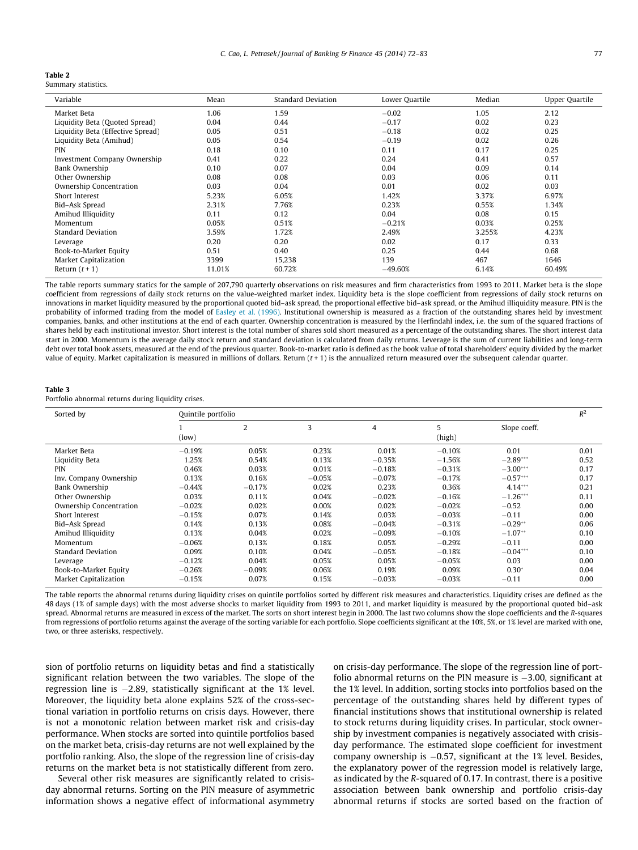<span id="page-5-0"></span>

Summary statistics.

| Variable                          | Mean   | <b>Standard Deviation</b> | Lower Quartile | Median | Upper Quartile |
|-----------------------------------|--------|---------------------------|----------------|--------|----------------|
| Market Beta                       | 1.06   | 1.59                      | $-0.02$        | 1.05   | 2.12           |
| Liquidity Beta (Quoted Spread)    | 0.04   | 0.44                      | $-0.17$        | 0.02   | 0.23           |
| Liquidity Beta (Effective Spread) | 0.05   | 0.51                      | $-0.18$        | 0.02   | 0.25           |
| Liquidity Beta (Amihud)           | 0.05   | 0.54                      | $-0.19$        | 0.02   | 0.26           |
| <b>PIN</b>                        | 0.18   | 0.10                      | 0.11           | 0.17   | 0.25           |
| Investment Company Ownership      | 0.41   | 0.22                      | 0.24           | 0.41   | 0.57           |
| Bank Ownership                    | 0.10   | 0.07                      | 0.04           | 0.09   | 0.14           |
| Other Ownership                   | 0.08   | 0.08                      | 0.03           | 0.06   | 0.11           |
| Ownership Concentration           | 0.03   | 0.04                      | 0.01           | 0.02   | 0.03           |
| Short Interest                    | 5.23%  | 6.05%                     | 1.42%          | 3.37%  | 6.97%          |
| Bid-Ask Spread                    | 2.31%  | 7.76%                     | 0.23%          | 0.55%  | 1.34%          |
| Amihud Illiquidity                | 0.11   | 0.12                      | 0.04           | 0.08   | 0.15           |
| Momentum                          | 0.05%  | 0.51%                     | $-0.21%$       | 0.03%  | 0.25%          |
| <b>Standard Deviation</b>         | 3.59%  | 1.72%                     | 2.49%          | 3.255% | 4.23%          |
| Leverage                          | 0.20   | 0.20                      | 0.02           | 0.17   | 0.33           |
| Book-to-Market Equity             | 0.51   | 0.40                      | 0.25           | 0.44   | 0.68           |
| <b>Market Capitalization</b>      | 3399   | 15,238                    | 139            | 467    | 1646           |
| Return $(t + 1)$                  | 11.01% | 60.72%                    | $-49.60%$      | 6.14%  | 60.49%         |

The table reports summary statics for the sample of 207,790 quarterly observations on risk measures and firm characteristics from 1993 to 2011. Market beta is the slope coefficient from regressions of daily stock returns on the value-weighted market index. Liquidity beta is the slope coefficient from regressions of daily stock returns on innovations in market liquidity measured by the proportional quoted bid–ask spread, the proportional effective bid–ask spread, or the Amihud illiquidity measure. PIN is the probability of informed trading from the model of [Easley et al. \(1996\)](#page-11-0). Institutional ownership is measured as a fraction of the outstanding shares held by investment companies, banks, and other institutions at the end of each quarter. Ownership concentration is measured by the Herfindahl index, i.e. the sum of the squared fractions of shares held by each institutional investor. Short interest is the total number of shares sold short measured as a percentage of the outstanding shares. The short interest data start in 2000. Momentum is the average daily stock return and standard deviation is calculated from daily returns. Leverage is the sum of current liabilities and long-term debt over total book assets, measured at the end of the previous quarter. Book-to-market ratio is defined as the book value of total shareholders' equity divided by the market value of equity. Market capitalization is measured in millions of dollars. Return  $(t + 1)$  is the annualized return measured over the subsequent calendar quarter.

## Table 3

Portfolio abnormal returns during liquidity crises.

| Sorted by                    | Quintile portfolio |          |          |                |             |              |      |  |
|------------------------------|--------------------|----------|----------|----------------|-------------|--------------|------|--|
|                              | (low)              | 2        | 3        | $\overline{4}$ | 5<br>(high) | Slope coeff. |      |  |
| Market Beta                  | $-0.19%$           | 0.05%    | 0.23%    | 0.01%          | $-0.10%$    | 0.01         | 0.01 |  |
| Liquidity Beta               | 1.25%              | 0.54%    | 0.13%    | $-0.35%$       | $-1.56%$    | $-2.89***$   | 0.52 |  |
| <b>PIN</b>                   | 0.46%              | 0.03%    | 0.01%    | $-0.18%$       | $-0.31%$    | $-3.00***$   | 0.17 |  |
| Inv. Company Ownership       | 0.13%              | 0.16%    | $-0.05%$ | $-0.07%$       | $-0.17%$    | $-0.57***$   | 0.17 |  |
| Bank Ownership               | $-0.44%$           | $-0.17%$ | 0.02%    | 0.23%          | 0.36%       | $4.14***$    | 0.21 |  |
| Other Ownership              | 0.03%              | 0.11%    | 0.04%    | $-0.02%$       | $-0.16%$    | $-1.26***$   | 0.11 |  |
| Ownership Concentration      | $-0.02%$           | 0.02%    | 0.00%    | 0.02%          | $-0.02%$    | $-0.52$      | 0.00 |  |
| Short Interest               | $-0.15%$           | 0.07%    | 0.14%    | 0.03%          | $-0.03%$    | $-0.11$      | 0.00 |  |
| Bid-Ask Spread               | 0.14%              | 0.13%    | 0.08%    | $-0.04%$       | $-0.31%$    | $-0.29**$    | 0.06 |  |
| Amihud Illiquidity           | 0.13%              | 0.04%    | 0.02%    | $-0.09%$       | $-0.10%$    | $-1.07**$    | 0.10 |  |
| Momentum                     | $-0.06%$           | 0.13%    | 0.18%    | 0.05%          | $-0.29%$    | $-0.11$      | 0.00 |  |
| <b>Standard Deviation</b>    | 0.09%              | 0.10%    | 0.04%    | $-0.05%$       | $-0.18%$    | $-0.04***$   | 0.10 |  |
| Leverage                     | $-0.12%$           | 0.04%    | 0.05%    | 0.05%          | $-0.05%$    | 0.03         | 0.00 |  |
| Book-to-Market Equity        | $-0.26%$           | $-0.09%$ | 0.06%    | 0.19%          | 0.09%       | $0.30*$      | 0.04 |  |
| <b>Market Capitalization</b> | $-0.15%$           | 0.07%    | 0.15%    | $-0.03%$       | $-0.03%$    | $-0.11$      | 0.00 |  |

The table reports the abnormal returns during liquidity crises on quintile portfolios sorted by different risk measures and characteristics. Liquidity crises are defined as the 48 days (1% of sample days) with the most adverse shocks to market liquidity from 1993 to 2011, and market liquidity is measured by the proportional quoted bid-ask spread. Abnormal returns are measured in excess of the market. The sorts on short interest begin in 2000. The last two columns show the slope coefficients and the R-squares from regressions of portfolio returns against the average of the sorting variable for each portfolio. Slope coefficients significant at the 10%, 5%, or 1% level are marked with one, two, or three asterisks, respectively.

sion of portfolio returns on liquidity betas and find a statistically significant relation between the two variables. The slope of the regression line is -2.89, statistically significant at the 1% level. Moreover, the liquidity beta alone explains 52% of the cross-sectional variation in portfolio returns on crisis days. However, there is not a monotonic relation between market risk and crisis-day performance. When stocks are sorted into quintile portfolios based on the market beta, crisis-day returns are not well explained by the portfolio ranking. Also, the slope of the regression line of crisis-day returns on the market beta is not statistically different from zero.

Several other risk measures are significantly related to crisisday abnormal returns. Sorting on the PIN measure of asymmetric information shows a negative effect of informational asymmetry

on crisis-day performance. The slope of the regression line of portfolio abnormal returns on the PIN measure is  $-3.00$ , significant at the 1% level. In addition, sorting stocks into portfolios based on the percentage of the outstanding shares held by different types of financial institutions shows that institutional ownership is related to stock returns during liquidity crises. In particular, stock ownership by investment companies is negatively associated with crisisday performance. The estimated slope coefficient for investment  $company$  ownership is  $-0.57$ , significant at the  $1\%$  level. Besides, the explanatory power of the regression model is relatively large, as indicated by the R-squared of 0.17. In contrast, there is a positive association between bank ownership and portfolio crisis-day abnormal returns if stocks are sorted based on the fraction of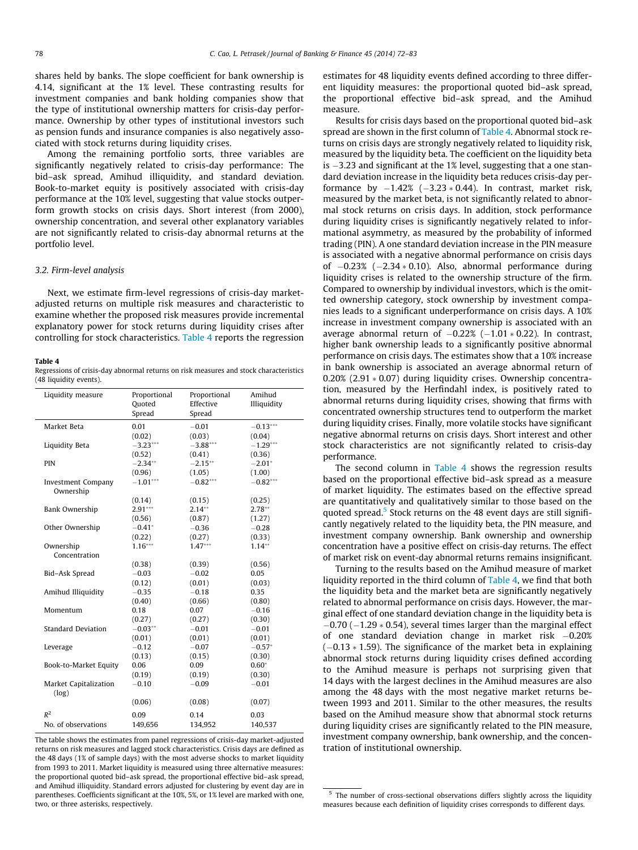<span id="page-6-0"></span>shares held by banks. The slope coefficient for bank ownership is 4.14, significant at the 1% level. These contrasting results for investment companies and bank holding companies show that the type of institutional ownership matters for crisis-day performance. Ownership by other types of institutional investors such as pension funds and insurance companies is also negatively associated with stock returns during liquidity crises.

Among the remaining portfolio sorts, three variables are significantly negatively related to crisis-day performance: The bid–ask spread, Amihud illiquidity, and standard deviation. Book-to-market equity is positively associated with crisis-day performance at the 10% level, suggesting that value stocks outperform growth stocks on crisis days. Short interest (from 2000), ownership concentration, and several other explanatory variables are not significantly related to crisis-day abnormal returns at the portfolio level.

### 3.2. Firm-level analysis

Next, we estimate firm-level regressions of crisis-day marketadjusted returns on multiple risk measures and characteristic to examine whether the proposed risk measures provide incremental explanatory power for stock returns during liquidity crises after controlling for stock characteristics. Table 4 reports the regression

#### Table 4

Regressions of crisis-day abnormal returns on risk measures and stock characteristics (48 liquidity events).

| Liquidity measure                      | Proportional<br>Quoted<br>Spread | Proportional<br>Effective<br>Spread | Amihud<br>Illiquidity |
|----------------------------------------|----------------------------------|-------------------------------------|-----------------------|
| Market Beta                            | 0.01                             | $-0.01$                             | $-0.13***$            |
|                                        | (0.02)                           | (0.03)                              | (0.04)                |
| Liquidity Beta                         | $-3.23***$                       | $-3.88***$                          | $-1.29***$            |
|                                        | (0.52)                           | (0.41)                              | (0.36)                |
| <b>PIN</b>                             | $-2.34***$                       | $-2.15***$                          | $-2.01*$              |
|                                        | (0.96)                           | (1.05)                              | (1.00)                |
| <b>Investment Company</b><br>Ownership | $-1.01***$                       | $-0.82***$                          | $-0.82***$            |
|                                        | (0.14)                           | (0.15)                              | (0.25)                |
| Bank Ownership                         | $2.91***$                        | $2.14***$                           | $2.78**$              |
|                                        | (0.56)                           | (0.87)                              | (1.27)                |
| Other Ownership                        | $-0.41*$                         | $-0.36$                             | $-0.28$               |
|                                        | (0.22)                           | (0.27)                              | (0.33)                |
| Ownership                              | $1.16***$                        | $1.47***$                           | $1.14***$             |
| Concentration                          |                                  |                                     |                       |
|                                        | (0.38)                           | (0.39)                              | (0.56)                |
| Bid-Ask Spread                         | $-0.03$                          | $-0.02$                             | 0.05                  |
|                                        | (0.12)                           | (0.01)                              | (0.03)                |
| Amihud Illiquidity                     | $-0.35$                          | $-0.18$                             | 0.35                  |
|                                        | (0.40)                           | (0.66)                              | (0.80)                |
| Momentum                               | 0.18                             | 0.07                                | $-0.16$               |
|                                        | (0.27)                           | (0.27)                              | (0.30)                |
| <b>Standard Deviation</b>              | $-0.03**$                        | $-0.01$                             | $-0.01$               |
|                                        | (0.01)                           | (0.01)                              | (0.01)                |
| Leverage                               | $-0.12$                          | $-0.07$                             | $-0.57*$              |
|                                        | (0.13)                           | (0.15)                              | (0.30)                |
| Book-to-Market Equity                  | 0.06                             | 0.09                                | $0.60*$               |
|                                        | (0.19)                           | (0.19)                              | (0.30)                |
| Market Capitalization<br>(log)         | $-0.10$                          | $-0.09$                             | $-0.01$               |
|                                        | (0.06)                           | (0.08)                              | (0.07)                |
| $R^2$                                  | 0.09                             | 0.14                                | 0.03                  |
| No. of observations                    | 149,656                          | 134,952                             | 140,537               |
|                                        |                                  |                                     |                       |

The table shows the estimates from panel regressions of crisis-day market-adjusted returns on risk measures and lagged stock characteristics. Crisis days are defined as the 48 days (1% of sample days) with the most adverse shocks to market liquidity from 1993 to 2011. Market liquidity is measured using three alternative measures: the proportional quoted bid–ask spread, the proportional effective bid–ask spread, and Amihud illiquidity. Standard errors adjusted for clustering by event day are in parentheses. Coefficients significant at the 10%, 5%, or 1% level are marked with one, two, or three asterisks, respectively.

estimates for 48 liquidity events defined according to three different liquidity measures: the proportional quoted bid–ask spread, the proportional effective bid–ask spread, and the Amihud measure.

Results for crisis days based on the proportional quoted bid–ask spread are shown in the first column of Table 4. Abnormal stock returns on crisis days are strongly negatively related to liquidity risk, measured by the liquidity beta. The coefficient on the liquidity beta is -3.23 and significant at the 1% level, suggesting that a one standard deviation increase in the liquidity beta reduces crisis-day performance by  $-1.42\%$  ( $-3.23 * 0.44$ ). In contrast, market risk, measured by the market beta, is not significantly related to abnormal stock returns on crisis days. In addition, stock performance during liquidity crises is significantly negatively related to informational asymmetry, as measured by the probability of informed trading (PIN). A one standard deviation increase in the PIN measure is associated with a negative abnormal performance on crisis days of  $-0.23\%$  ( $-2.34 * 0.10$ ). Also, abnormal performance during liquidity crises is related to the ownership structure of the firm. Compared to ownership by individual investors, which is the omitted ownership category, stock ownership by investment companies leads to a significant underperformance on crisis days. A 10% increase in investment company ownership is associated with an average abnormal return of  $-0.22\%$  ( $-1.01 * 0.22$ ). In contrast, higher bank ownership leads to a significantly positive abnormal performance on crisis days. The estimates show that a 10% increase in bank ownership is associated an average abnormal return of  $0.20\%$  (2.91  $*$  0.07) during liquidity crises. Ownership concentration, measured by the Herfindahl index, is positively rated to abnormal returns during liquidity crises, showing that firms with concentrated ownership structures tend to outperform the market during liquidity crises. Finally, more volatile stocks have significant negative abnormal returns on crisis days. Short interest and other stock characteristics are not significantly related to crisis-day performance.

The second column in Table 4 shows the regression results based on the proportional effective bid–ask spread as a measure of market liquidity. The estimates based on the effective spread are quantitatively and qualitatively similar to those based on the quoted spread.<sup>5</sup> Stock returns on the 48 event days are still significantly negatively related to the liquidity beta, the PIN measure, and investment company ownership. Bank ownership and ownership concentration have a positive effect on crisis-day returns. The effect of market risk on event-day abnormal returns remains insignificant.

Turning to the results based on the Amihud measure of market liquidity reported in the third column of Table 4, we find that both the liquidity beta and the market beta are significantly negatively related to abnormal performance on crisis days. However, the marginal effect of one standard deviation change in the liquidity beta is  $-0.70$  ( $-1.29 * 0.54$ ), several times larger than the marginal effect of one standard deviation change in market risk -0.20%  $(-0.13 * 1.59)$ . The significance of the market beta in explaining abnormal stock returns during liquidity crises defined according to the Amihud measure is perhaps not surprising given that 14 days with the largest declines in the Amihud measures are also among the 48 days with the most negative market returns between 1993 and 2011. Similar to the other measures, the results based on the Amihud measure show that abnormal stock returns during liquidity crises are significantly related to the PIN measure, investment company ownership, bank ownership, and the concentration of institutional ownership.

<sup>&</sup>lt;sup>5</sup> The number of cross-sectional observations differs slightly across the liquidity measures because each definition of liquidity crises corresponds to different days.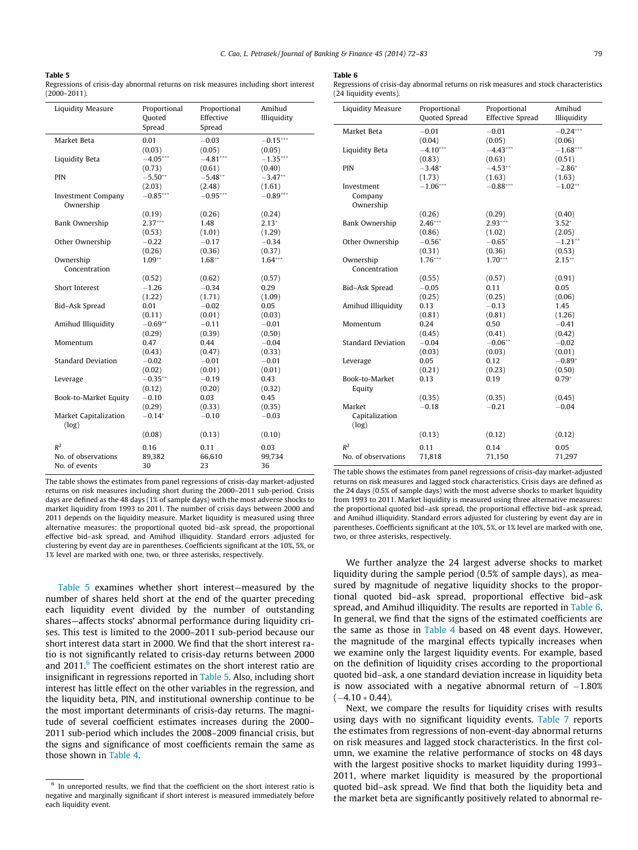#### Table 5

Regressions of crisis-day abnormal returns on risk measures including short interest (2000–2011).

| Liquidity Measure                      | Proportional<br>Quoted<br>Spread | Proportional<br>Effective<br>Spread | Amihud<br>Illiquidity |
|----------------------------------------|----------------------------------|-------------------------------------|-----------------------|
| Market Beta                            | 0.01                             | $-0.03$                             | $-0.15***$            |
|                                        | (0.03)                           | (0.05)                              | (0.05)                |
| Liquidity Beta                         | $-4.05***$                       | $-4.81***$                          | $-1.35***$            |
|                                        | (0.73)                           | (0.61)                              | (0.40)                |
| <b>PIN</b>                             | $-5.50**$                        | $-5.48**$                           | $-3.47**$             |
|                                        | (2.03)                           | (2.48)                              | (1.61)                |
| <b>Investment Company</b><br>Ownership | $-0.85***$                       | $-0.95***$                          | $-0.89***$            |
|                                        | (0.19)                           | (0.26)                              | (0.24)                |
| Bank Ownership                         | $2.37***$                        | 1.48                                | $2.13*$               |
|                                        | (0.53)                           | (1.01)                              | (1.29)                |
| Other Ownership                        | $-0.22$                          | $-0.17$                             | $-0.34$               |
|                                        | (0.26)                           | (0.36)                              | (0.37)                |
| Ownership                              | $1.09**$                         | $1.68**$                            | $1.64***$             |
| Concentration                          |                                  |                                     |                       |
|                                        | (0.52)                           | (0.62)                              | (0.57)                |
| Short Interest                         | $-1.26$                          | $-0.34$                             | 0.29                  |
|                                        | (1.22)                           | (1.71)                              | (1.09)                |
| Bid-Ask Spread                         | 0.01                             | $-0.02$                             | 0.05                  |
|                                        | (0.11)                           | (0.01)                              | (0.03)                |
| Amihud Illiquidity                     | $-0.69**$                        | $-0.11$                             | $-0.01$               |
|                                        | (0.29)                           | (0.39)                              | (0.50)                |
| Momentum                               | 0.47                             | 0.44                                | $-0.04$               |
|                                        | (0.43)                           | (0.47)                              | (0.33)                |
| <b>Standard Deviation</b>              | $-0.02$                          | $-0.01$                             | $-0.01$               |
|                                        | (0.02)                           | (0.01)                              | (0.01)                |
| Leverage                               | $-0.35**$                        | $-0.19$                             | 0.43                  |
|                                        | (0.12)                           | (0.20)                              | (0.32)                |
| Book-to-Market Equity                  | $-0.10$                          | 0.03                                | 0.45                  |
|                                        | (0.29)                           | (0.33)                              | (0.35)                |
| Market Capitalization<br>(log)         | $-0.14*$                         | $-0.10$                             | $-0.03$               |
|                                        | (0.08)                           | (0.13)                              | (0.10)                |
| $R^2$                                  | 0.16                             | 0.11                                | 0.03                  |
| No. of observations                    | 89,382                           | 66,610                              | 99,734                |
| No. of events                          | 30                               | 23                                  | 36                    |

The table shows the estimates from panel regressions of crisis-day market-adjusted returns on risk measures including short during the 2000–2011 sub-period. Crisis days are defined as the 48 days (1% of sample days) with the most adverse shocks to market liquidity from 1993 to 2011. The number of crisis days between 2000 and 2011 depends on the liquidity measure. Market liquidity is measured using three alternative measures: the proportional quoted bid–ask spread, the proportional effective bid–ask spread, and Amihud illiquidity. Standard errors adjusted for clustering by event day are in parentheses. Coefficients significant at the 10%, 5%, or 1% level are marked with one, two, or three asterisks, respectively.

Table 5 examines whether short interest—measured by the number of shares held short at the end of the quarter preceding each liquidity event divided by the number of outstanding shares—affects stocks' abnormal performance during liquidity crises. This test is limited to the 2000–2011 sub-period because our short interest data start in 2000. We find that the short interest ratio is not significantly related to crisis-day returns between 2000 and  $2011<sup>6</sup>$ . The coefficient estimates on the short interest ratio are insignificant in regressions reported in Table 5. Also, including short interest has little effect on the other variables in the regression, and the liquidity beta, PIN, and institutional ownership continue to be the most important determinants of crisis-day returns. The magnitude of several coefficient estimates increases during the 2000– 2011 sub-period which includes the 2008–2009 financial crisis, but the signs and significance of most coefficients remain the same as those shown in [Table 4](#page-6-0).

#### Table 6

Regressions of crisis-day abnormal returns on risk measures and stock characteristics (24 liquidity events).

| <b>Liquidity Measure</b>  | Proportional<br><b>Quoted Spread</b> | Proportional<br><b>Effective Spread</b> | Amihud<br>Illiquidity |
|---------------------------|--------------------------------------|-----------------------------------------|-----------------------|
| Market Beta               | $-0.01$                              | $-0.01$                                 | $-0.24***$            |
|                           | (0.04)                               | (0.05)                                  | (0.06)                |
| Liquidity Beta            | $-4.10***$                           | $-4.43***$                              | $-1.68***$            |
|                           | (0.83)                               | (0.63)                                  | (0.51)                |
| PIN                       | $-3.48*$                             | $-4.53***$                              | $-2.86*$              |
|                           | (1.73)                               | (1.63)                                  | (1.63)                |
| Investment                | $-1.06***$                           | $-0.88***$                              | $-1.02**$             |
| Company                   |                                      |                                         |                       |
| Ownership                 |                                      |                                         |                       |
|                           | (0.26)                               | (0.29)                                  | (0.40)                |
| Bank Ownership            | $2.46***$                            | $2.93***$                               | $3.52*$               |
|                           | (0.86)                               | (1.02)                                  | (2.05)                |
| Other Ownership           | $-0.56*$                             | $-0.65*$                                | $-1.21**$             |
|                           | (0.31)                               | (0.36)                                  | (0.53)                |
| Ownership                 | $1.76***$                            | $1.70***$                               | $2.15***$             |
| Concentration             |                                      |                                         |                       |
|                           | (0.55)                               | (0.57)                                  | (0.91)                |
| Bid-Ask Spread            | $-0.05$                              | 0.11                                    | 0.05                  |
|                           | (0.25)                               | (0.25)                                  | (0.06)                |
| Amihud Illiquidity        | 0.13                                 | $-0.13$                                 | 1.45                  |
|                           | (0.81)                               | (0.81)                                  | (1.26)                |
| Momentum                  | 0.24                                 | 0.50                                    | $-0.41$               |
|                           | (0.45)                               | (0.41)                                  | (0.42)                |
| <b>Standard Deviation</b> | $-0.04$                              | $-0.06***$                              | $-0.02$               |
|                           | (0.03)                               | (0.03)                                  | (0.01)                |
| Leverage                  | 0.05                                 | 0.12                                    | $-0.89*$              |
|                           | (0.21)                               | (0.23)                                  | (0.50)                |
| Book-to-Market<br>Equity  | 0.13                                 | 0.19                                    | $0.79*$               |
|                           | (0.35)                               | (0.35)                                  | (0.45)                |
| Market                    | $-0.18$                              | $-0.21$                                 | $-0.04$               |
| Capitalization<br>(log)   |                                      |                                         |                       |
|                           | (0.13)                               | (0.12)                                  | (0.12)                |
| $R^2$                     | 0.11                                 | 0.14                                    | 0.05                  |
| No. of observations       | 71,818                               | 71,150                                  | 71.297                |

The table shows the estimates from panel regressions of crisis-day market-adjusted returns on risk measures and lagged stock characteristics. Crisis days are defined as the 24 days (0.5% of sample days) with the most adverse shocks to market liquidity from 1993 to 2011. Market liquidity is measured using three alternative measures: the proportional quoted bid–ask spread, the proportional effective bid–ask spread, and Amihud illiquidity. Standard errors adjusted for clustering by event day are in parentheses. Coefficients significant at the 10%, 5%, or 1% level are marked with one, two, or three asterisks, respectively.

We further analyze the 24 largest adverse shocks to market liquidity during the sample period (0.5% of sample days), as measured by magnitude of negative liquidity shocks to the proportional quoted bid–ask spread, proportional effective bid–ask spread, and Amihud illiquidity. The results are reported in Table 6. In general, we find that the signs of the estimated coefficients are the same as those in [Table 4](#page-6-0) based on 48 event days. However, the magnitude of the marginal effects typically increases when we examine only the largest liquidity events. For example, based on the definition of liquidity crises according to the proportional quoted bid–ask, a one standard deviation increase in liquidity beta is now associated with a negative abnormal return of  $-1.80\%$  $(-4.10 * 0.44).$ 

Next, we compare the results for liquidity crises with results using days with no significant liquidity events. [Table 7](#page-8-0) reports the estimates from regressions of non-event-day abnormal returns on risk measures and lagged stock characteristics. In the first column, we examine the relative performance of stocks on 48 days with the largest positive shocks to market liquidity during 1993– 2011, where market liquidity is measured by the proportional quoted bid–ask spread. We find that both the liquidity beta and the market beta are significantly positively related to abnormal re-

 $6$  In unreported results, we find that the coefficient on the short interest ratio is negative and marginally significant if short interest is measured immediately before each liquidity event.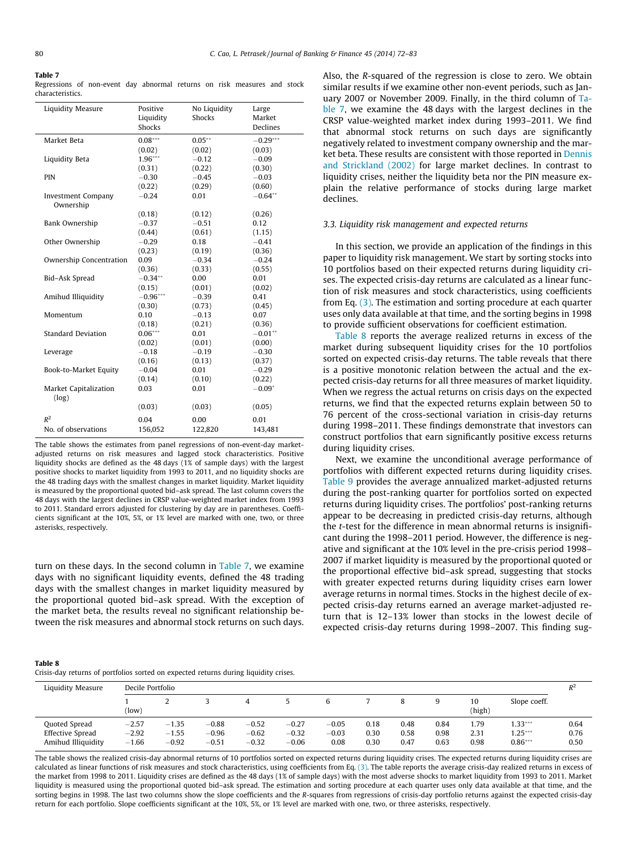#### <span id="page-8-0"></span>Table 7

Regressions of non-event day abnormal returns on risk measures and stock characteristics.

| <b>Liquidity Measure</b>               | Positive<br>Liquidity<br>Shocks | No Liquidity<br><b>Shocks</b> | Large<br>Market<br>Declines |
|----------------------------------------|---------------------------------|-------------------------------|-----------------------------|
| Market Beta                            | $0.08***$                       | $0.05***$                     | $-0.29***$                  |
|                                        | (0.02)                          | (0.02)                        | (0.03)                      |
| Liquidity Beta                         | $1.96***$                       | $-0.12$                       | $-0.09$                     |
|                                        | (0.31)                          | (0.22)                        | (0.30)                      |
| PIN                                    | $-0.30$                         | $-0.45$                       | $-0.03$                     |
|                                        | (0.22)                          | (0.29)                        | (0.60)                      |
| <b>Investment Company</b><br>Ownership | $-0.24$                         | 0.01                          | $-0.64**$                   |
|                                        | (0.18)                          | (0.12)                        | (0.26)                      |
| Bank Ownership                         | $-0.37$                         | $-0.51$                       | 0.12                        |
|                                        | (0.44)                          | (0.61)                        | (1.15)                      |
| Other Ownership                        | $-0.29$                         | 0.18                          | $-0.41$                     |
|                                        | (0.23)                          | (0.19)                        | (0.36)                      |
| Ownership Concentration                | 0.09                            | $-0.34$                       | $-0.24$                     |
|                                        | (0.36)                          | (0.33)                        | (0.55)                      |
| Bid-Ask Spread                         | $-0.34***$                      | 0.00                          | 0.01                        |
|                                        | (0.15)                          | (0.01)                        | (0.02)                      |
| Amihud Illiquidity                     | $-0.96***$                      | $-0.39$                       | 0.41                        |
|                                        | (0.30)                          | (0.73)                        | (0.45)                      |
| Momentum                               | 0.10                            | $-0.13$                       | 0.07                        |
|                                        | (0.18)                          | (0.21)                        | (0.36)                      |
| <b>Standard Deviation</b>              | $0.06***$                       | 0.01                          | $-0.01**$                   |
|                                        | (0.02)                          | (0.01)                        | (0.00)                      |
| Leverage                               | $-0.18$                         | $-0.19$                       | $-0.30$                     |
|                                        | (0.16)                          | (0.13)                        | (0.37)                      |
| Book-to-Market Equity                  | $-0.04$                         | 0.01                          | $-0.29$                     |
|                                        | (0.14)                          | (0.10)                        | (0.22)                      |
| <b>Market Capitalization</b><br>(log)  | 0.03                            | 0.01                          | $-0.09*$                    |
|                                        | (0.03)                          | (0.03)                        | (0.05)                      |
| $R^2$                                  | 0.04                            | 0.00                          | 0.01                        |
| No. of observations                    | 156,052                         | 122,820                       | 143,481                     |

The table shows the estimates from panel regressions of non-event-day marketadjusted returns on risk measures and lagged stock characteristics. Positive liquidity shocks are defined as the 48 days (1% of sample days) with the largest positive shocks to market liquidity from 1993 to 2011, and no liquidity shocks are the 48 trading days with the smallest changes in market liquidity. Market liquidity is measured by the proportional quoted bid–ask spread. The last column covers the 48 days with the largest declines in CRSP value-weighted market index from 1993 to 2011. Standard errors adjusted for clustering by day are in parentheses. Coefficients significant at the 10%, 5%, or 1% level are marked with one, two, or three asterisks, respectively.

turn on these days. In the second column in Table 7, we examine days with no significant liquidity events, defined the 48 trading days with the smallest changes in market liquidity measured by the proportional quoted bid–ask spread. With the exception of the market beta, the results reveal no significant relationship between the risk measures and abnormal stock returns on such days.

Also, the R-squared of the regression is close to zero. We obtain similar results if we examine other non-event periods, such as January 2007 or November 2009. Finally, in the third column of Table 7, we examine the 48 days with the largest declines in the CRSP value-weighted market index during 1993–2011. We find that abnormal stock returns on such days are significantly negatively related to investment company ownership and the market beta. These results are consistent with those reported in [Dennis](#page-11-0) [and Strickland \(2002\)](#page-11-0) for large market declines. In contrast to liquidity crises, neither the liquidity beta nor the PIN measure explain the relative performance of stocks during large market declines.

### 3.3. Liquidity risk management and expected returns

In this section, we provide an application of the findings in this paper to liquidity risk management. We start by sorting stocks into 10 portfolios based on their expected returns during liquidity crises. The expected crisis-day returns are calculated as a linear function of risk measures and stock characteristics, using coefficients from Eq. [\(3\).](#page-2-0) The estimation and sorting procedure at each quarter uses only data available at that time, and the sorting begins in 1998 to provide sufficient observations for coefficient estimation.

Table 8 reports the average realized returns in excess of the market during subsequent liquidity crises for the 10 portfolios sorted on expected crisis-day returns. The table reveals that there is a positive monotonic relation between the actual and the expected crisis-day returns for all three measures of market liquidity. When we regress the actual returns on crisis days on the expected returns, we find that the expected returns explain between 50 to 76 percent of the cross-sectional variation in crisis-day returns during 1998–2011. These findings demonstrate that investors can construct portfolios that earn significantly positive excess returns during liquidity crises.

Next, we examine the unconditional average performance of portfolios with different expected returns during liquidity crises. [Table 9](#page-9-0) provides the average annualized market-adjusted returns during the post-ranking quarter for portfolios sorted on expected returns during liquidity crises. The portfolios' post-ranking returns appear to be decreasing in predicted crisis-day returns, although the t-test for the difference in mean abnormal returns is insignificant during the 1998–2011 period. However, the difference is negative and significant at the 10% level in the pre-crisis period 1998– 2007 if market liquidity is measured by the proportional quoted or the proportional effective bid–ask spread, suggesting that stocks with greater expected returns during liquidity crises earn lower average returns in normal times. Stocks in the highest decile of expected crisis-day returns earned an average market-adjusted return that is 12–13% lower than stocks in the lowest decile of expected crisis-day returns during 1998–2007. This finding sug-

| Table 8                                                                              |  |
|--------------------------------------------------------------------------------------|--|
| Crisis-day returns of portfolios sorted on expected returns during liquidity crises. |  |

| Liquidity Measure                                              | Decile Portfolio              |                               |                               |                               |                               |                            |                      |                      |                      | $R^2$                |                                     |                      |
|----------------------------------------------------------------|-------------------------------|-------------------------------|-------------------------------|-------------------------------|-------------------------------|----------------------------|----------------------|----------------------|----------------------|----------------------|-------------------------------------|----------------------|
|                                                                | (low)                         |                               |                               | 4                             |                               |                            |                      |                      | 9                    | 10<br>(high)         | Slope coeff.                        |                      |
| Quoted Spread<br><b>Effective Spread</b><br>Amihud Illiquidity | $-2.57$<br>$-2.92$<br>$-1.66$ | $-1.35$<br>$-1.55$<br>$-0.92$ | $-0.88$<br>$-0.96$<br>$-0.51$ | $-0.52$<br>$-0.62$<br>$-0.32$ | $-0.27$<br>$-0.32$<br>$-0.06$ | $-0.05$<br>$-0.03$<br>0.08 | 0.18<br>0.30<br>0.30 | 0.48<br>0.58<br>0.47 | 0.84<br>0.98<br>0.63 | 1.79<br>2.31<br>0.98 | $1.33***$<br>$1.25***$<br>$0.86***$ | 0.64<br>0.76<br>0.50 |

The table shows the realized crisis-day abnormal returns of 10 portfolios sorted on expected returns during liquidity crises. The expected returns during liquidity crises are calculated as linear functions of risk measures and stock characteristics, using coefficients from Eq. [\(3\).](#page-2-0) The table reports the average crisis-day realized returns in excess of the market from 1998 to 2011. Liquidity crises are defined as the 48 days (1% of sample days) with the most adverse shocks to market liquidity from 1993 to 2011. Market liquidity is measured using the proportional quoted bid-ask spread. The estimation and sorting procedure at each quarter uses only data available at that time, and the sorting begins in 1998. The last two columns show the slope coefficients and the R-squares from regressions of crisis-day portfolio returns against the expected crisis-day return for each portfolio. Slope coefficients significant at the 10%, 5%, or 1% level are marked with one, two, or three asterisks, respectively.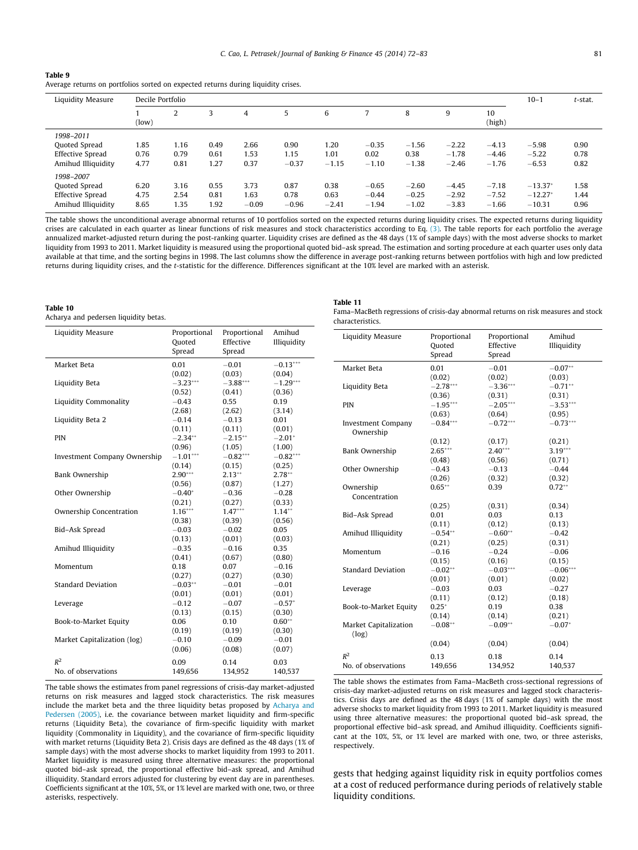<span id="page-9-0"></span>

| Table 9                                                                           |
|-----------------------------------------------------------------------------------|
| Average returns on portfolios sorted on expected returns during liquidity crises. |

| Liquidity Measure                                                           |                      | Decile Portfolio     |                      |                         |                         |                         |                               |                               |                               |                               |                                    | $t$ -stat.           |
|-----------------------------------------------------------------------------|----------------------|----------------------|----------------------|-------------------------|-------------------------|-------------------------|-------------------------------|-------------------------------|-------------------------------|-------------------------------|------------------------------------|----------------------|
|                                                                             | (low)                | 2                    |                      | 4                       | 5                       | 6                       |                               | 8                             | 9                             | 10<br>(high)                  |                                    |                      |
| 1998-2011<br>Quoted Spread<br><b>Effective Spread</b><br>Amihud Illiquidity | 1.85<br>0.76<br>4.77 | 1.16<br>0.79<br>0.81 | 0.49<br>0.61<br>1.27 | 2.66<br>1.53<br>0.37    | 0.90<br>1.15<br>$-0.37$ | 1.20<br>1.01<br>$-1.15$ | $-0.35$<br>0.02<br>$-1.10$    | $-1.56$<br>0.38<br>$-1.38$    | $-2.22$<br>$-1.78$<br>$-2.46$ | $-4.13$<br>$-4.46$<br>$-1.76$ | $-5.98$<br>$-5.22$<br>$-6.53$      | 0.90<br>0.78<br>0.82 |
| 1998-2007<br>Quoted Spread<br><b>Effective Spread</b><br>Amihud Illiquidity | 6.20<br>4.75<br>8.65 | 3.16<br>2.54<br>1.35 | 0.55<br>0.81<br>1.92 | 3.73<br>1.63<br>$-0.09$ | 0.87<br>0.78<br>$-0.96$ | 0.38<br>0.63<br>$-2.41$ | $-0.65$<br>$-0.44$<br>$-1.94$ | $-2.60$<br>$-0.25$<br>$-1.02$ | $-4.45$<br>$-2.92$<br>$-3.83$ | $-7.18$<br>$-7.52$<br>$-1.66$ | $-13.37*$<br>$-12.27*$<br>$-10.31$ | 1.58<br>1.44<br>0.96 |

The table shows the unconditional average abnormal returns of 10 portfolios sorted on the expected returns during liquidity crises. The expected returns during liquidity crises are calculated in each quarter as linear functions of risk measures and stock characteristics according to Eq. [\(3\).](#page-2-0) The table reports for each portfolio the average annualized market-adjusted return during the post-ranking quarter. Liquidity crises are defined as the 48 days (1% of sample days) with the most adverse shocks to market liquidity from 1993 to 2011. Market liquidity is measured using the proportional quoted bid–ask spread. The estimation and sorting procedure at each quarter uses only data available at that time, and the sorting begins in 1998. The last columns show the difference in average post-ranking returns between portfolios with high and low predicted returns during liquidity crises, and the t-statistic for the difference. Differences significant at the 10% level are marked with an asterisk.

#### Table 10

Acharya and pedersen liquidity betas.

| Liquidity Measure            | Proportional<br>Quoted<br>Spread | Proportional<br>Effective<br>Spread | Amihud<br>Illiquidity |
|------------------------------|----------------------------------|-------------------------------------|-----------------------|
| Market Beta                  | 0.01                             | $-0.01$                             | $-0.13***$            |
|                              | (0.02)                           | (0.03)                              | (0.04)                |
| Liquidity Beta               | $-3.23***$                       | $-3.88***$                          | $-1.29***$            |
|                              | (0.52)                           | (0.41)                              | (0.36)                |
| Liquidity Commonality        | $-0.43$                          | 0.55                                | 0.19                  |
|                              | (2.68)                           | (2.62)                              | (3.14)                |
| Liquidity Beta 2             | $-0.14$                          | $-0.13$                             | 0.01                  |
|                              | (0.11)                           | (0.11)                              | (0.01)                |
| PIN                          | $-2.34***$                       | $-2.15***$                          | $-2.01*$              |
|                              | (0.96)                           | (1.05)                              | (1.00)                |
| Investment Company Ownership | $-1.01***$                       | $-0.82***$                          | $-0.82***$            |
|                              | (0.14)                           | (0.15)                              | (0.25)                |
| Bank Ownership               | $2.90***$                        | $2.13**$                            | $2.78**$              |
|                              | (0.56)                           | (0.87)                              | (1.27)                |
| Other Ownership              | $-0.40*$                         | $-0.36$                             | $-0.28$               |
|                              | (0.21)                           | (0.27)                              | (0.33)                |
| Ownership Concentration      | $1.16***$                        | $1.47***$                           | $1.14**$              |
|                              | (0.38)                           | (0.39)                              | (0.56)                |
| Bid-Ask Spread               | $-0.03$                          | $-0.02$                             | 0.05                  |
|                              | (0.13)                           | (0.01)                              | (0.03)                |
| Amihud Illiquidity           | $-0.35$                          | $-0.16$                             | 0.35                  |
|                              | (0.41)                           | (0.67)                              | (0.80)                |
| Momentum                     | 0.18                             | 0.07                                | $-0.16$               |
|                              | (0.27)                           | (0.27)                              | (0.30)                |
| <b>Standard Deviation</b>    | $-0.03**$                        | $-0.01$                             | $-0.01$               |
|                              | (0.01)                           | (0.01)                              | (0.01)                |
| Leverage                     | $-0.12$                          | $-0.07$                             | $-0.57*$              |
|                              | (0.13)                           | (0.15)                              | (0.30)                |
| Book-to-Market Equity        | 0.06                             | 0.10                                | $0.60**$              |
|                              | (0.19)                           | (0.19)                              | (0.30)                |
| Market Capitalization (log)  | $-0.10$                          | $-0.09$                             | $-0.01$               |
|                              | (0.06)                           | (0.08)                              | (0.07)                |
| $R^2$                        | 0.09                             | 0.14                                | 0.03                  |
| No. of observations          | 149.656                          | 134.952                             | 140.537               |

The table shows the estimates from panel regressions of crisis-day market-adjusted returns on risk measures and lagged stock characteristics. The risk measures include the market beta and the three liquidity betas proposed by [Acharya and](#page-11-0) [Pedersen \(2005\)](#page-11-0), i.e. the covariance between market liquidity and firm-specific returns (Liquidity Beta), the covariance of firm-specific liquidity with market liquidity (Commonality in Liquidity), and the covariance of firm-specific liquidity with market returns (Liquidity Beta 2). Crisis days are defined as the 48 days (1% of sample days) with the most adverse shocks to market liquidity from 1993 to 2011. Market liquidity is measured using three alternative measures: the proportional quoted bid–ask spread, the proportional effective bid–ask spread, and Amihud illiquidity. Standard errors adjusted for clustering by event day are in parentheses. Coefficients significant at the 10%, 5%, or 1% level are marked with one, two, or three asterisks, respectively.

Table 11

| Fama-MacBeth regressions of crisis-day abnormal returns on risk measures and stock |  |
|------------------------------------------------------------------------------------|--|
| characteristics.                                                                   |  |

| Liquidity Measure                      | Proportional<br>Quoted<br>Spread | Proportional<br>Effective<br>Spread | Amihud<br>Illiquidity |
|----------------------------------------|----------------------------------|-------------------------------------|-----------------------|
| Market Beta                            | 0.01                             | $-0.01$                             | $-0.07**$             |
|                                        | (0.02)                           | (0.02)                              | (0.03)                |
| Liquidity Beta                         | $-2.78***$                       | $-3.36***$                          | $-0.71**$             |
|                                        | (0.36)                           | (0.31)                              | (0.31)                |
| PIN                                    | $-1.95***$                       | $-2.05***$                          | $-3.53***$            |
|                                        |                                  |                                     |                       |
|                                        | (0.63)<br>$-0.84***$             | (0.64)                              | (0.95)                |
| <b>Investment Company</b><br>Ownership |                                  | $-0.72***$                          | $-0.73***$            |
|                                        | (0.12)                           | (0.17)                              | (0.21)                |
| Bank Ownership                         | $2.65***$                        | $2.40***$                           | $3.19***$             |
|                                        | (0.48)                           | (0.56)                              | (0.71)                |
| Other Ownership                        | $-0.43$                          | $-0.13$                             | $-0.44$               |
|                                        | (0.26)                           | (0.32)                              | (0.32)                |
| Ownership                              | $0.65***$                        | 0.39                                | $0.72***$             |
| Concentration                          |                                  |                                     |                       |
|                                        | (0.25)                           | (0.31)                              | (0.34)                |
| Bid-Ask Spread                         | 0.01                             | 0.03                                | 0.13                  |
|                                        | (0.11)                           | (0.12)                              | (0.13)                |
| Amihud Illiquidity                     | $-0.54***$                       | $-0.60**$                           | $-0.42$               |
|                                        | (0.21)                           | (0.25)                              | (0.31)                |
| Momentum                               | $-0.16$                          | $-0.24$                             | $-0.06$               |
|                                        | (0.15)                           | (0.16)                              | (0.15)                |
| <b>Standard Deviation</b>              | $-0.02**$                        | $-0.03***$                          | $-0.06***$            |
|                                        | (0.01)                           | (0.01)                              | (0.02)                |
| Leverage                               | $-0.03$                          | 0.03                                | $-0.27$               |
|                                        | (0.11)                           | (0.12)                              | (0.18)                |
| Book-to-Market Equity                  | $0.25*$                          | 0.19                                | 0.38                  |
|                                        | (0.14)                           | (0.14)                              | (0.21)                |
| <b>Market Capitalization</b><br>(log)  | $-0.08**$                        | $-0.09**$                           | $-0.07*$              |
|                                        | (0.04)                           | (0.04)                              | (0.04)                |
| $R^2$                                  | 0.13                             | 0.18                                | 0.14                  |
| No. of observations                    | 149,656                          | 134,952                             | 140,537               |
|                                        |                                  |                                     |                       |

The table shows the estimates from Fama–MacBeth cross-sectional regressions of crisis-day market-adjusted returns on risk measures and lagged stock characteristics. Crisis days are defined as the 48 days (1% of sample days) with the most adverse shocks to market liquidity from 1993 to 2011. Market liquidity is measured using three alternative measures: the proportional quoted bid–ask spread, the proportional effective bid–ask spread, and Amihud illiquidity. Coefficients significant at the 10%, 5%, or 1% level are marked with one, two, or three asterisks, respectively.

gests that hedging against liquidity risk in equity portfolios comes at a cost of reduced performance during periods of relatively stable liquidity conditions.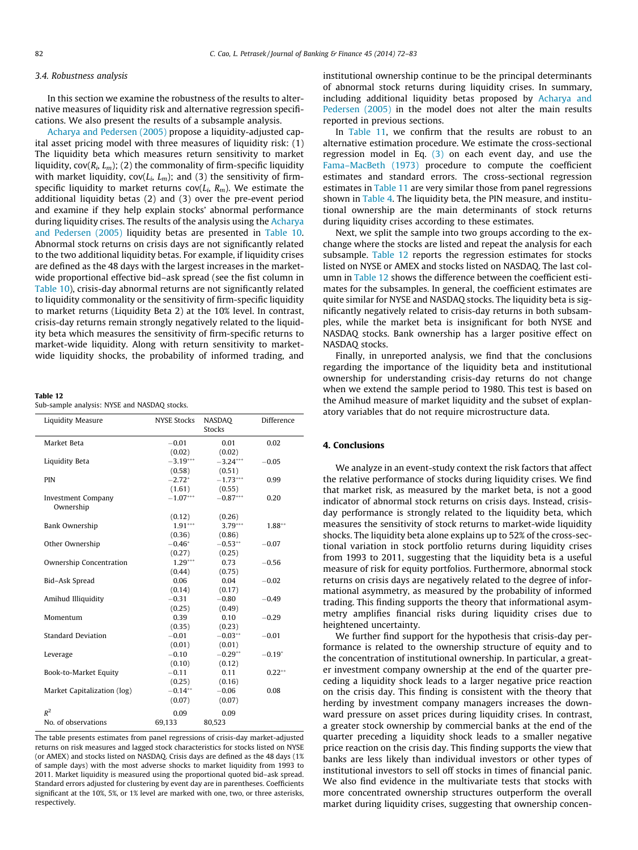#### <span id="page-10-0"></span>3.4. Robustness analysis

In this section we examine the robustness of the results to alternative measures of liquidity risk and alternative regression specifications. We also present the results of a subsample analysis.

[Acharya and Pedersen \(2005\)](#page-11-0) propose a liquidity-adjusted capital asset pricing model with three measures of liquidity risk: (1) The liquidity beta which measures return sensitivity to market liquidity,  $cov(R_i, L_m)$ ; (2) the commonality of firm-specific liquidity with market liquidity,  $cov(L_i, L_m)$ ; and (3) the sensitivity of firmspecific liquidity to market returns  $cov(L_i, R_m)$ . We estimate the additional liquidity betas (2) and (3) over the pre-event period and examine if they help explain stocks' abnormal performance during liquidity crises. The results of the analysis using the [Acharya](#page-11-0) [and Pedersen \(2005\)](#page-11-0) liquidity betas are presented in [Table 10.](#page-9-0) Abnormal stock returns on crisis days are not significantly related to the two additional liquidity betas. For example, if liquidity crises are defined as the 48 days with the largest increases in the marketwide proportional effective bid–ask spread (see the fist column in [Table 10\)](#page-9-0), crisis-day abnormal returns are not significantly related to liquidity commonality or the sensitivity of firm-specific liquidity to market returns (Liquidity Beta 2) at the 10% level. In contrast, crisis-day returns remain strongly negatively related to the liquidity beta which measures the sensitivity of firm-specific returns to market-wide liquidity. Along with return sensitivity to marketwide liquidity shocks, the probability of informed trading, and

Table 12

Sub-sample analysis: NYSE and NASDAQ stocks.

| <b>Liquidity Measure</b>    | <b>NYSE Stocks</b> | NASDAO<br><b>Stocks</b> | Difference |
|-----------------------------|--------------------|-------------------------|------------|
| Market Beta                 | $-0.01$            | 0.01                    | 0.02       |
|                             | (0.02)             | (0.02)                  |            |
| Liquidity Beta              | $-3.19***$         | $-3.24***$              | $-0.05$    |
|                             | (0.58)             | (0.51)                  |            |
| <b>PIN</b>                  | $-2.72^{*}$        | $-1.73***$              | 0.99       |
|                             | (1.61)             | (0.55)                  |            |
| <b>Investment Company</b>   | $-1.07***$         | $-0.87***$              | 0.20       |
| Ownership                   |                    |                         |            |
|                             | (0.12)             | (0.26)                  |            |
| Bank Ownership              | $1.91***$          | $3.79***$               | $1.88***$  |
|                             | (0.36)             | (0.86)                  |            |
| Other Ownership             | $-0.46*$           | $-0.53**$               | $-0.07$    |
|                             | (0.27)             | (0.25)                  |            |
| Ownership Concentration     | $1.29***$          | 0.73                    | $-0.56$    |
|                             | (0.44)             | (0.75)                  |            |
| Bid-Ask Spread              | 0.06               | 0.04                    | $-0.02$    |
|                             | (0.14)             | (0.17)                  |            |
| Amihud Illiquidity          | $-0.31$            | $-0.80$                 | $-0.49$    |
|                             | (0.25)             | (0.49)                  |            |
| Momentum                    | 0.39               | 0.10                    | $-0.29$    |
|                             | (0.35)             | (0.23)                  |            |
| <b>Standard Deviation</b>   | $-0.01$            | $-0.03**$               | $-0.01$    |
|                             | (0.01)             | (0.01)                  |            |
| Leverage                    | $-0.10$            | $-0.29**$               | $-0.19*$   |
|                             | (0.10)             | (0.12)                  |            |
| Book-to-Market Equity       | $-0.11$            | 0.11                    | $0.22***$  |
|                             | (0.25)             | (0.16)                  |            |
| Market Capitalization (log) | $-0.14**$          | $-0.06$                 | 0.08       |
|                             |                    |                         |            |
|                             | (0.07)             | (0.07)                  |            |
| $R^2$                       | 0.09               | 0.09                    |            |

The table presents estimates from panel regressions of crisis-day market-adjusted returns on risk measures and lagged stock characteristics for stocks listed on NYSE (or AMEX) and stocks listed on NASDAQ. Crisis days are defined as the 48 days (1% of sample days) with the most adverse shocks to market liquidity from 1993 to 2011. Market liquidity is measured using the proportional quoted bid–ask spread. Standard errors adjusted for clustering by event day are in parentheses. Coefficients significant at the 10%, 5%, or 1% level are marked with one, two, or three asterisks, respectively.

institutional ownership continue to be the principal determinants of abnormal stock returns during liquidity crises. In summary, including additional liquidity betas proposed by [Acharya and](#page-11-0) [Pedersen \(2005\)](#page-11-0) in the model does not alter the main results reported in previous sections.

In [Table 11,](#page-9-0) we confirm that the results are robust to an alternative estimation procedure. We estimate the cross-sectional regression model in Eq.  $(3)$  on each event day, and use the [Fama–MacBeth \(1973\)](#page-11-0) procedure to compute the coefficient estimates and standard errors. The cross-sectional regression estimates in [Table 11](#page-9-0) are very similar those from panel regressions shown in [Table 4](#page-6-0). The liquidity beta, the PIN measure, and institutional ownership are the main determinants of stock returns during liquidity crises according to these estimates.

Next, we split the sample into two groups according to the exchange where the stocks are listed and repeat the analysis for each subsample. Table 12 reports the regression estimates for stocks listed on NYSE or AMEX and stocks listed on NASDAQ. The last column in Table 12 shows the difference between the coefficient estimates for the subsamples. In general, the coefficient estimates are quite similar for NYSE and NASDAQ stocks. The liquidity beta is significantly negatively related to crisis-day returns in both subsamples, while the market beta is insignificant for both NYSE and NASDAQ stocks. Bank ownership has a larger positive effect on NASDAQ stocks.

Finally, in unreported analysis, we find that the conclusions regarding the importance of the liquidity beta and institutional ownership for understanding crisis-day returns do not change when we extend the sample period to 1980. This test is based on the Amihud measure of market liquidity and the subset of explanatory variables that do not require microstructure data.

## 4. Conclusions

We analyze in an event-study context the risk factors that affect the relative performance of stocks during liquidity crises. We find that market risk, as measured by the market beta, is not a good indicator of abnormal stock returns on crisis days. Instead, crisisday performance is strongly related to the liquidity beta, which measures the sensitivity of stock returns to market-wide liquidity shocks. The liquidity beta alone explains up to 52% of the cross-sectional variation in stock portfolio returns during liquidity crises from 1993 to 2011, suggesting that the liquidity beta is a useful measure of risk for equity portfolios. Furthermore, abnormal stock returns on crisis days are negatively related to the degree of informational asymmetry, as measured by the probability of informed trading. This finding supports the theory that informational asymmetry amplifies financial risks during liquidity crises due to heightened uncertainty.

We further find support for the hypothesis that crisis-day performance is related to the ownership structure of equity and to the concentration of institutional ownership. In particular, a greater investment company ownership at the end of the quarter preceding a liquidity shock leads to a larger negative price reaction on the crisis day. This finding is consistent with the theory that herding by investment company managers increases the downward pressure on asset prices during liquidity crises. In contrast, a greater stock ownership by commercial banks at the end of the quarter preceding a liquidity shock leads to a smaller negative price reaction on the crisis day. This finding supports the view that banks are less likely than individual investors or other types of institutional investors to sell off stocks in times of financial panic. We also find evidence in the multivariate tests that stocks with more concentrated ownership structures outperform the overall market during liquidity crises, suggesting that ownership concen